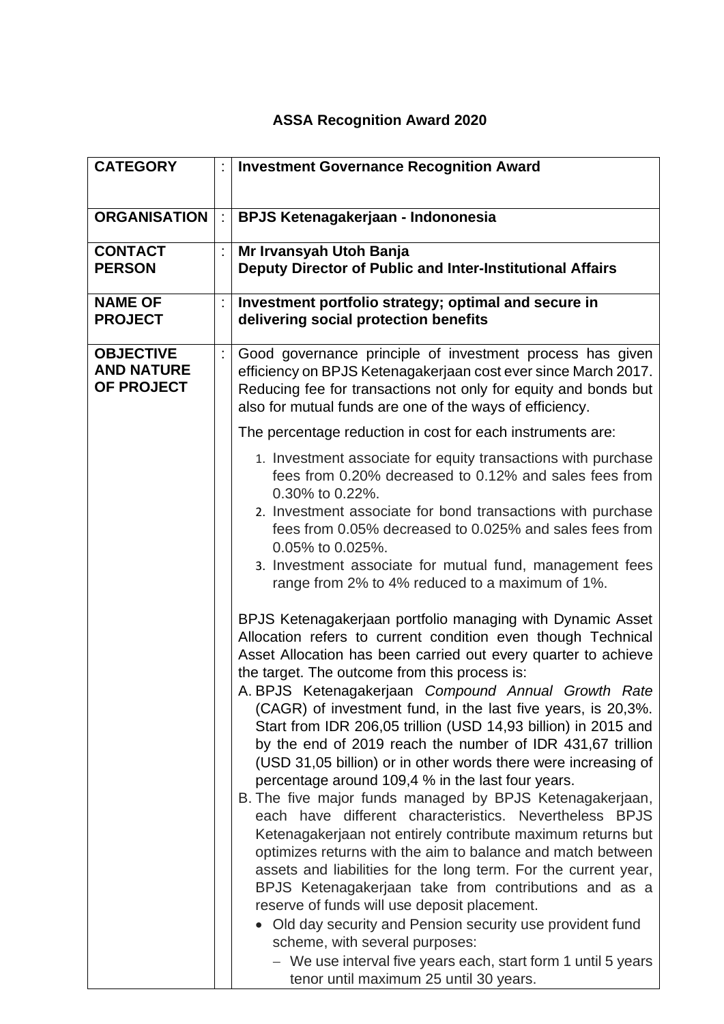## **ASSA Recognition Award 2020**

| <b>CATEGORY</b>                                     | <b>Investment Governance Recognition Award</b>                                                                                                                                                                                                                                                                                                                                                                                                                                                                                                                                                                                                                                                                                                                                                                                                                                                                                                                                                                                                                                                                                                                                                                                                                                                                                                                                                                                                                                                                                                                                                                                                                                                                                                     |
|-----------------------------------------------------|----------------------------------------------------------------------------------------------------------------------------------------------------------------------------------------------------------------------------------------------------------------------------------------------------------------------------------------------------------------------------------------------------------------------------------------------------------------------------------------------------------------------------------------------------------------------------------------------------------------------------------------------------------------------------------------------------------------------------------------------------------------------------------------------------------------------------------------------------------------------------------------------------------------------------------------------------------------------------------------------------------------------------------------------------------------------------------------------------------------------------------------------------------------------------------------------------------------------------------------------------------------------------------------------------------------------------------------------------------------------------------------------------------------------------------------------------------------------------------------------------------------------------------------------------------------------------------------------------------------------------------------------------------------------------------------------------------------------------------------------------|
| <b>ORGANISATION</b>                                 | <b>BPJS Ketenagakerjaan - Indononesia</b>                                                                                                                                                                                                                                                                                                                                                                                                                                                                                                                                                                                                                                                                                                                                                                                                                                                                                                                                                                                                                                                                                                                                                                                                                                                                                                                                                                                                                                                                                                                                                                                                                                                                                                          |
| <b>CONTACT</b><br><b>PERSON</b>                     | Mr Irvansyah Utoh Banja<br>Deputy Director of Public and Inter-Institutional Affairs                                                                                                                                                                                                                                                                                                                                                                                                                                                                                                                                                                                                                                                                                                                                                                                                                                                                                                                                                                                                                                                                                                                                                                                                                                                                                                                                                                                                                                                                                                                                                                                                                                                               |
| <b>NAME OF</b><br><b>PROJECT</b>                    | Investment portfolio strategy; optimal and secure in<br>delivering social protection benefits                                                                                                                                                                                                                                                                                                                                                                                                                                                                                                                                                                                                                                                                                                                                                                                                                                                                                                                                                                                                                                                                                                                                                                                                                                                                                                                                                                                                                                                                                                                                                                                                                                                      |
| <b>OBJECTIVE</b><br><b>AND NATURE</b><br>OF PROJECT | Good governance principle of investment process has given<br>efficiency on BPJS Ketenagakerjaan cost ever since March 2017.<br>Reducing fee for transactions not only for equity and bonds but<br>also for mutual funds are one of the ways of efficiency.<br>The percentage reduction in cost for each instruments are:<br>1. Investment associate for equity transactions with purchase<br>fees from 0.20% decreased to 0.12% and sales fees from<br>0.30% to 0.22%.<br>2. Investment associate for bond transactions with purchase<br>fees from 0.05% decreased to 0.025% and sales fees from<br>0.05% to 0.025%.<br>3. Investment associate for mutual fund, management fees<br>range from 2% to 4% reduced to a maximum of 1%.<br>BPJS Ketenagakerjaan portfolio managing with Dynamic Asset<br>Allocation refers to current condition even though Technical<br>Asset Allocation has been carried out every quarter to achieve<br>the target. The outcome from this process is:<br>A. BPJS Ketenagakerjaan Compound Annual Growth Rate<br>(CAGR) of investment fund, in the last five years, is 20,3%.<br>Start from IDR 206,05 trillion (USD 14,93 billion) in 2015 and<br>by the end of 2019 reach the number of IDR 431,67 trillion<br>(USD 31,05 billion) or in other words there were increasing of<br>percentage around 109,4 % in the last four years.<br>B. The five major funds managed by BPJS Ketenagakerjaan,<br>each have different characteristics. Nevertheless BPJS<br>Ketenagakerjaan not entirely contribute maximum returns but<br>optimizes returns with the aim to balance and match between<br>assets and liabilities for the long term. For the current year,<br>BPJS Ketenagakerjaan take from contributions and as a |
|                                                     | reserve of funds will use deposit placement.<br>• Old day security and Pension security use provident fund<br>scheme, with several purposes:<br>- We use interval five years each, start form 1 until 5 years<br>tenor until maximum 25 until 30 years.                                                                                                                                                                                                                                                                                                                                                                                                                                                                                                                                                                                                                                                                                                                                                                                                                                                                                                                                                                                                                                                                                                                                                                                                                                                                                                                                                                                                                                                                                            |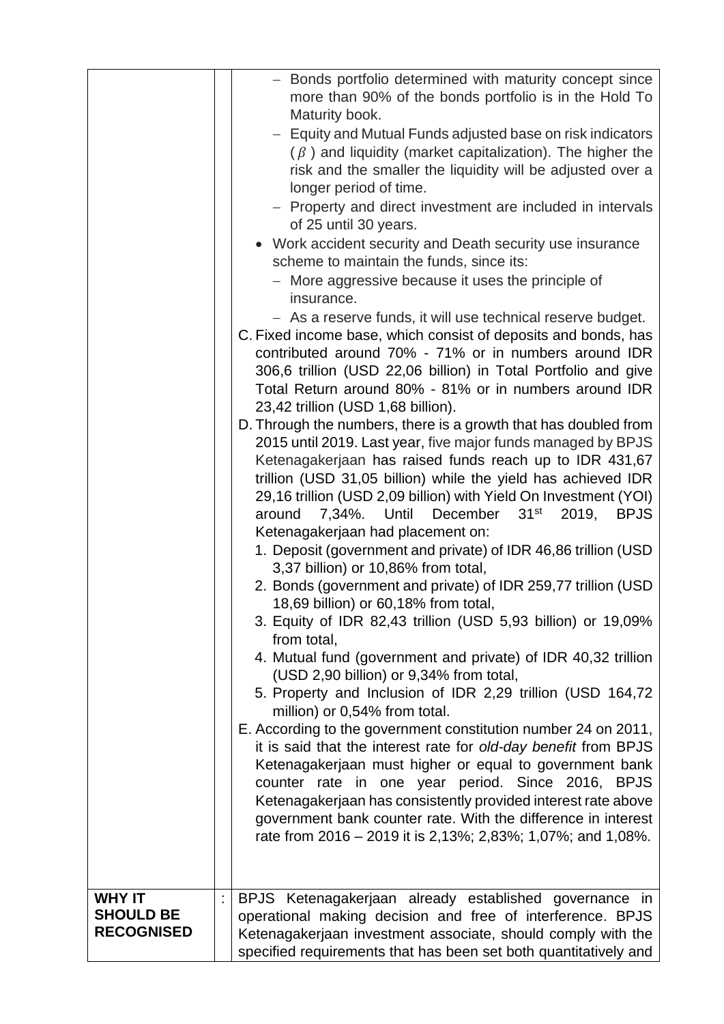|                                                        | - Bonds portfolio determined with maturity concept since<br>more than 90% of the bonds portfolio is in the Hold To<br>Maturity book.<br>- Equity and Mutual Funds adjusted base on risk indicators                                                                                                                                                                                                                                                                                                                                                                                                                       |
|--------------------------------------------------------|--------------------------------------------------------------------------------------------------------------------------------------------------------------------------------------------------------------------------------------------------------------------------------------------------------------------------------------------------------------------------------------------------------------------------------------------------------------------------------------------------------------------------------------------------------------------------------------------------------------------------|
|                                                        | $(\beta)$ and liquidity (market capitalization). The higher the<br>risk and the smaller the liquidity will be adjusted over a<br>longer period of time.<br>- Property and direct investment are included in intervals<br>of 25 until 30 years.<br>• Work accident security and Death security use insurance<br>scheme to maintain the funds, since its:<br>- More aggressive because it uses the principle of<br>insurance.<br>- As a reserve funds, it will use technical reserve budget.<br>C. Fixed income base, which consist of deposits and bonds, has<br>contributed around 70% - 71% or in numbers around IDR    |
|                                                        | 306,6 trillion (USD 22,06 billion) in Total Portfolio and give<br>Total Return around 80% - 81% or in numbers around IDR<br>23,42 trillion (USD 1,68 billion).<br>D. Through the numbers, there is a growth that has doubled from<br>2015 until 2019. Last year, five major funds managed by BPJS<br>Ketenagakerjaan has raised funds reach up to IDR 431,67<br>trillion (USD 31,05 billion) while the yield has achieved IDR<br>29,16 trillion (USD 2,09 billion) with Yield On Investment (YOI)<br>December 31 <sup>st</sup><br>2019,<br>Until<br><b>BPJS</b><br>around<br>7,34%.<br>Ketenagakerjaan had placement on: |
|                                                        | 1. Deposit (government and private) of IDR 46,86 trillion (USD<br>3,37 billion) or 10,86% from total,<br>2. Bonds (government and private) of IDR 259,77 trillion (USD<br>18,69 billion) or 60,18% from total,<br>3. Equity of IDR 82,43 trillion (USD 5,93 billion) or 19,09%<br>from total,<br>4. Mutual fund (government and private) of IDR 40,32 trillion<br>(USD 2,90 billion) or 9,34% from total,                                                                                                                                                                                                                |
|                                                        | 5. Property and Inclusion of IDR 2,29 trillion (USD 164,72<br>million) or 0,54% from total.<br>E. According to the government constitution number 24 on 2011,<br>it is said that the interest rate for old-day benefit from BPJS<br>Ketenagakerjaan must higher or equal to government bank<br>counter rate in one year period. Since 2016, BPJS<br>Ketenagakerjaan has consistently provided interest rate above<br>government bank counter rate. With the difference in interest<br>rate from 2016 – 2019 it is 2,13%; 2,83%; 1,07%; and 1,08%.                                                                        |
| <b>WHY IT</b><br><b>SHOULD BE</b><br><b>RECOGNISED</b> | BPJS Ketenagakerjaan already established governance in<br>operational making decision and free of interference. BPJS<br>Ketenagakerjaan investment associate, should comply with the<br>specified requirements that has been set both quantitatively and                                                                                                                                                                                                                                                                                                                                                                 |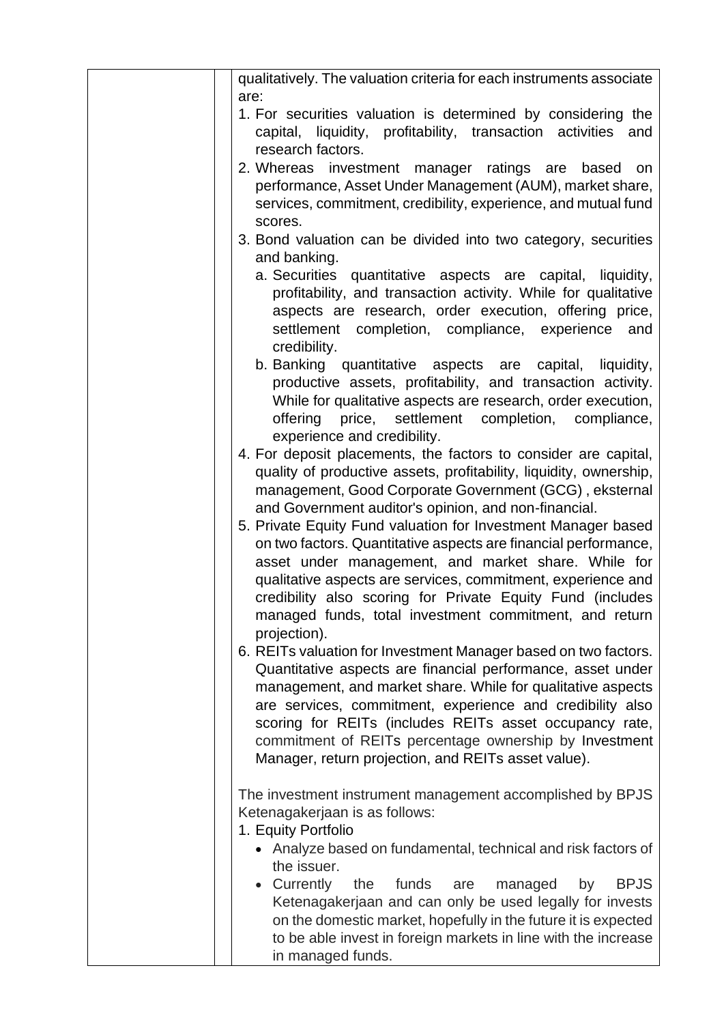| qualitatively. The valuation criteria for each instruments associate                                                                                                                                                                                                                                                                                                                                                                   |
|----------------------------------------------------------------------------------------------------------------------------------------------------------------------------------------------------------------------------------------------------------------------------------------------------------------------------------------------------------------------------------------------------------------------------------------|
| are:<br>1. For securities valuation is determined by considering the<br>capital, liquidity, profitability, transaction activities<br>and<br>research factors.                                                                                                                                                                                                                                                                          |
| 2. Whereas investment manager ratings are<br>based<br>on<br>performance, Asset Under Management (AUM), market share,<br>services, commitment, credibility, experience, and mutual fund<br>scores.                                                                                                                                                                                                                                      |
| 3. Bond valuation can be divided into two category, securities<br>and banking.                                                                                                                                                                                                                                                                                                                                                         |
| a. Securities quantitative aspects are capital, liquidity,<br>profitability, and transaction activity. While for qualitative<br>aspects are research, order execution, offering price,<br>settlement completion, compliance, experience<br>and<br>credibility.                                                                                                                                                                         |
| b. Banking quantitative aspects are capital, liquidity,<br>productive assets, profitability, and transaction activity.<br>While for qualitative aspects are research, order execution,<br>offering<br>price, settlement completion, compliance,<br>experience and credibility.                                                                                                                                                         |
| 4. For deposit placements, the factors to consider are capital,<br>quality of productive assets, profitability, liquidity, ownership,<br>management, Good Corporate Government (GCG), eksternal<br>and Government auditor's opinion, and non-financial.                                                                                                                                                                                |
| 5. Private Equity Fund valuation for Investment Manager based<br>on two factors. Quantitative aspects are financial performance,<br>asset under management, and market share. While for<br>qualitative aspects are services, commitment, experience and<br>credibility also scoring for Private Equity Fund (includes<br>managed funds, total investment commitment, and return<br>projection).                                        |
| 6. REITs valuation for Investment Manager based on two factors.<br>Quantitative aspects are financial performance, asset under<br>management, and market share. While for qualitative aspects<br>are services, commitment, experience and credibility also<br>scoring for REITs (includes REITs asset occupancy rate,<br>commitment of REITs percentage ownership by Investment<br>Manager, return projection, and REITs asset value). |
| The investment instrument management accomplished by BPJS<br>Ketenagakerjaan is as follows:<br>1. Equity Portfolio                                                                                                                                                                                                                                                                                                                     |
| • Analyze based on fundamental, technical and risk factors of<br>the issuer.<br>Currently<br><b>BPJS</b><br>the<br>funds<br>are<br>managed<br>by                                                                                                                                                                                                                                                                                       |
| Ketenagakerjaan and can only be used legally for invests<br>on the domestic market, hopefully in the future it is expected<br>to be able invest in foreign markets in line with the increase<br>in managed funds.                                                                                                                                                                                                                      |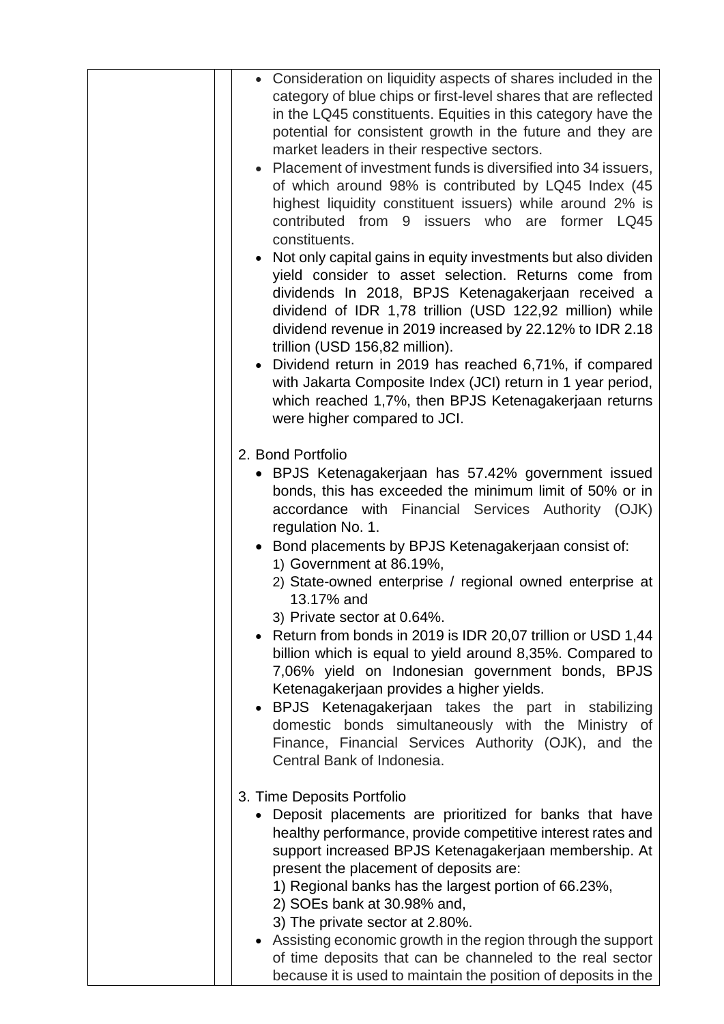| • Consideration on liquidity aspects of shares included in the<br>category of blue chips or first-level shares that are reflected<br>in the LQ45 constituents. Equities in this category have the<br>potential for consistent growth in the future and they are<br>market leaders in their respective sectors.<br>• Placement of investment funds is diversified into 34 issuers,<br>of which around 98% is contributed by LQ45 Index (45<br>highest liquidity constituent issuers) while around 2% is<br>contributed from 9 issuers who are former LQ45<br>constituents.<br>• Not only capital gains in equity investments but also dividen<br>yield consider to asset selection. Returns come from<br>dividends In 2018, BPJS Ketenagakerjaan received a<br>dividend of IDR 1,78 trillion (USD 122,92 million) while<br>dividend revenue in 2019 increased by 22.12% to IDR 2.18<br>trillion (USD 156,82 million).<br>• Dividend return in 2019 has reached 6,71%, if compared<br>with Jakarta Composite Index (JCI) return in 1 year period,<br>which reached 1,7%, then BPJS Ketenagakerjaan returns<br>were higher compared to JCI. |
|------------------------------------------------------------------------------------------------------------------------------------------------------------------------------------------------------------------------------------------------------------------------------------------------------------------------------------------------------------------------------------------------------------------------------------------------------------------------------------------------------------------------------------------------------------------------------------------------------------------------------------------------------------------------------------------------------------------------------------------------------------------------------------------------------------------------------------------------------------------------------------------------------------------------------------------------------------------------------------------------------------------------------------------------------------------------------------------------------------------------------------------|
| 2. Bond Portfolio<br>• BPJS Ketenagakerjaan has 57.42% government issued<br>bonds, this has exceeded the minimum limit of 50% or in<br>accordance with Financial Services Authority (OJK)<br>regulation No. 1.                                                                                                                                                                                                                                                                                                                                                                                                                                                                                                                                                                                                                                                                                                                                                                                                                                                                                                                           |
| • Bond placements by BPJS Ketenagakerjaan consist of:<br>1) Government at 86.19%,<br>2) State-owned enterprise / regional owned enterprise at<br>13.17% and<br>3) Private sector at 0.64%.                                                                                                                                                                                                                                                                                                                                                                                                                                                                                                                                                                                                                                                                                                                                                                                                                                                                                                                                               |
| Return from bonds in 2019 is IDR 20,07 trillion or USD 1,44<br>billion which is equal to yield around 8,35%. Compared to<br>7,06% yield on Indonesian government bonds, BPJS<br>Ketenagakerjaan provides a higher yields.<br>BPJS Ketenagakerjaan takes the part in stabilizing                                                                                                                                                                                                                                                                                                                                                                                                                                                                                                                                                                                                                                                                                                                                                                                                                                                          |
| domestic bonds simultaneously with the Ministry of<br>Finance, Financial Services Authority (OJK), and the<br>Central Bank of Indonesia.                                                                                                                                                                                                                                                                                                                                                                                                                                                                                                                                                                                                                                                                                                                                                                                                                                                                                                                                                                                                 |
| 3. Time Deposits Portfolio<br>• Deposit placements are prioritized for banks that have<br>healthy performance, provide competitive interest rates and<br>support increased BPJS Ketenagakerjaan membership. At<br>present the placement of deposits are:<br>1) Regional banks has the largest portion of 66.23%,<br>2) SOEs bank at 30.98% and,<br>3) The private sector at 2.80%.<br>Assisting economic growth in the region through the support<br>of time deposits that can be channeled to the real sector<br>because it is used to maintain the position of deposits in the                                                                                                                                                                                                                                                                                                                                                                                                                                                                                                                                                         |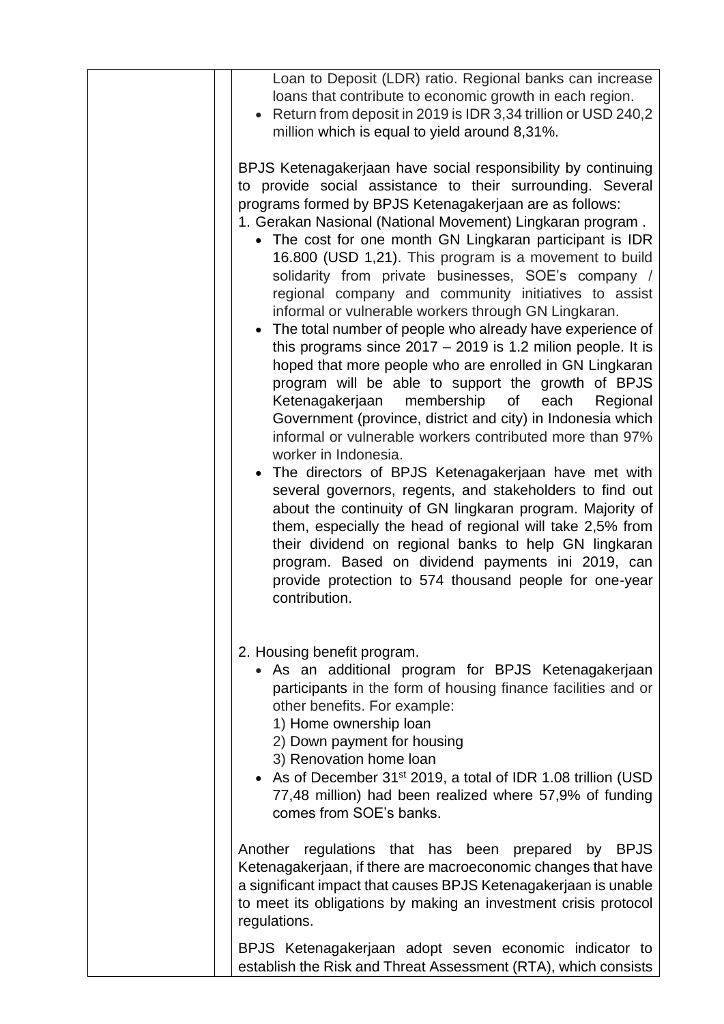| Loan to Deposit (LDR) ratio. Regional banks can increase<br>loans that contribute to economic growth in each region.<br>• Return from deposit in 2019 is IDR 3,34 trillion or USD 240,2<br>million which is equal to yield around 8,31%.                                                                                                                                                                                                                                                                                                                                                                                                                                                                                                                                                                                                                                                                                                                                                                                                                                                                                                                                                                                                                                                                                                                                                                                                                 |
|----------------------------------------------------------------------------------------------------------------------------------------------------------------------------------------------------------------------------------------------------------------------------------------------------------------------------------------------------------------------------------------------------------------------------------------------------------------------------------------------------------------------------------------------------------------------------------------------------------------------------------------------------------------------------------------------------------------------------------------------------------------------------------------------------------------------------------------------------------------------------------------------------------------------------------------------------------------------------------------------------------------------------------------------------------------------------------------------------------------------------------------------------------------------------------------------------------------------------------------------------------------------------------------------------------------------------------------------------------------------------------------------------------------------------------------------------------|
| BPJS Ketenagakerjaan have social responsibility by continuing<br>to provide social assistance to their surrounding. Several<br>programs formed by BPJS Ketenagakerjaan are as follows:<br>1. Gerakan Nasional (National Movement) Lingkaran program.<br>• The cost for one month GN Lingkaran participant is IDR<br>16.800 (USD 1,21). This program is a movement to build<br>solidarity from private businesses, SOE's company /<br>regional company and community initiatives to assist<br>informal or vulnerable workers through GN Lingkaran.<br>• The total number of people who already have experience of<br>this programs since $2017 - 2019$ is 1.2 milion people. It is<br>hoped that more people who are enrolled in GN Lingkaran<br>program will be able to support the growth of BPJS<br>membership<br>Ketenagakerjaan<br>of<br>each<br>Regional<br>Government (province, district and city) in Indonesia which<br>informal or vulnerable workers contributed more than 97%<br>worker in Indonesia.<br>• The directors of BPJS Ketenagakerjaan have met with<br>several governors, regents, and stakeholders to find out<br>about the continuity of GN lingkaran program. Majority of<br>them, especially the head of regional will take 2,5% from<br>their dividend on regional banks to help GN lingkaran<br>program. Based on dividend payments ini 2019, can<br>provide protection to 574 thousand people for one-year<br>contribution. |
| 2. Housing benefit program.<br>• As an additional program for BPJS Ketenagakerjaan<br>participants in the form of housing finance facilities and or<br>other benefits. For example:<br>1) Home ownership loan<br>2) Down payment for housing<br>3) Renovation home loan<br>• As of December 31 <sup>st</sup> 2019, a total of IDR 1.08 trillion (USD<br>77,48 million) had been realized where 57,9% of funding<br>comes from SOE's banks.                                                                                                                                                                                                                                                                                                                                                                                                                                                                                                                                                                                                                                                                                                                                                                                                                                                                                                                                                                                                               |
| Another regulations that has been prepared by BPJS<br>Ketenagakerjaan, if there are macroeconomic changes that have<br>a significant impact that causes BPJS Ketenagakerjaan is unable<br>to meet its obligations by making an investment crisis protocol<br>regulations.                                                                                                                                                                                                                                                                                                                                                                                                                                                                                                                                                                                                                                                                                                                                                                                                                                                                                                                                                                                                                                                                                                                                                                                |
| BPJS Ketenagakerjaan adopt seven economic indicator to<br>establish the Risk and Threat Assessment (RTA), which consists                                                                                                                                                                                                                                                                                                                                                                                                                                                                                                                                                                                                                                                                                                                                                                                                                                                                                                                                                                                                                                                                                                                                                                                                                                                                                                                                 |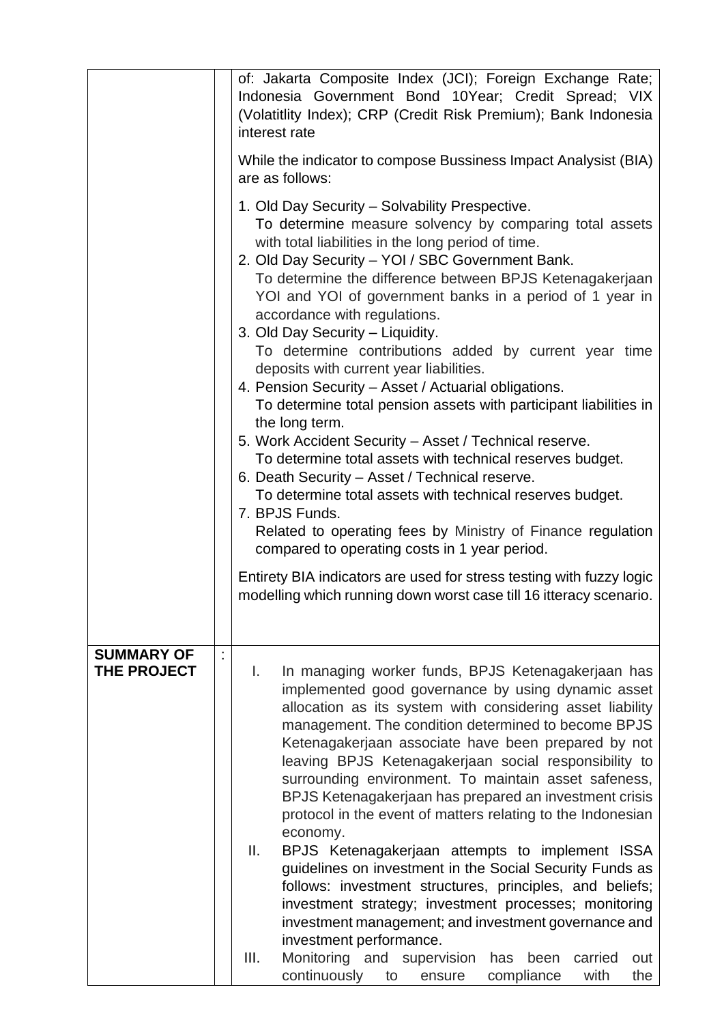|                                  | of: Jakarta Composite Index (JCI); Foreign Exchange Rate;<br>Indonesia Government Bond 10Year; Credit Spread; VIX<br>(Volatitlity Index); CRP (Credit Risk Premium); Bank Indonesia<br>interest rate<br>While the indicator to compose Bussiness Impact Analysist (BIA)<br>are as follows:<br>1. Old Day Security - Solvability Prespective.<br>To determine measure solvency by comparing total assets<br>with total liabilities in the long period of time.<br>2. Old Day Security - YOI / SBC Government Bank.<br>To determine the difference between BPJS Ketenagakerjaan<br>YOI and YOI of government banks in a period of 1 year in<br>accordance with regulations.<br>3. Old Day Security - Liquidity.<br>To determine contributions added by current year time<br>deposits with current year liabilities.<br>4. Pension Security - Asset / Actuarial obligations.<br>To determine total pension assets with participant liabilities in<br>the long term.<br>5. Work Accident Security - Asset / Technical reserve.<br>To determine total assets with technical reserves budget.<br>6. Death Security - Asset / Technical reserve.<br>To determine total assets with technical reserves budget.<br>7. BPJS Funds.<br>Related to operating fees by Ministry of Finance regulation<br>compared to operating costs in 1 year period. |
|----------------------------------|------------------------------------------------------------------------------------------------------------------------------------------------------------------------------------------------------------------------------------------------------------------------------------------------------------------------------------------------------------------------------------------------------------------------------------------------------------------------------------------------------------------------------------------------------------------------------------------------------------------------------------------------------------------------------------------------------------------------------------------------------------------------------------------------------------------------------------------------------------------------------------------------------------------------------------------------------------------------------------------------------------------------------------------------------------------------------------------------------------------------------------------------------------------------------------------------------------------------------------------------------------------------------------------------------------------------------------------|
|                                  | Entirety BIA indicators are used for stress testing with fuzzy logic<br>modelling which running down worst case till 16 itteracy scenario.                                                                                                                                                                                                                                                                                                                                                                                                                                                                                                                                                                                                                                                                                                                                                                                                                                                                                                                                                                                                                                                                                                                                                                                               |
| <b>SUMMARY OF</b><br>THE PROJECT | In managing worker funds, BPJS Ketenagakerjaan has<br>L.<br>implemented good governance by using dynamic asset<br>allocation as its system with considering asset liability<br>management. The condition determined to become BPJS<br>Ketenagakerjaan associate have been prepared by not<br>leaving BPJS Ketenagakerjaan social responsibility to<br>surrounding environment. To maintain asset safeness,<br>BPJS Ketenagakerjaan has prepared an investment crisis<br>protocol in the event of matters relating to the Indonesian<br>economy.<br>II.<br>BPJS Ketenagakerjaan attempts to implement ISSA<br>guidelines on investment in the Social Security Funds as<br>follows: investment structures, principles, and beliefs;<br>investment strategy; investment processes; monitoring<br>investment management; and investment governance and<br>investment performance.<br>III.<br>Monitoring and supervision<br>has<br>been<br>carried<br>out<br>continuously<br>compliance<br>with<br>the<br>to<br>ensure                                                                                                                                                                                                                                                                                                                        |